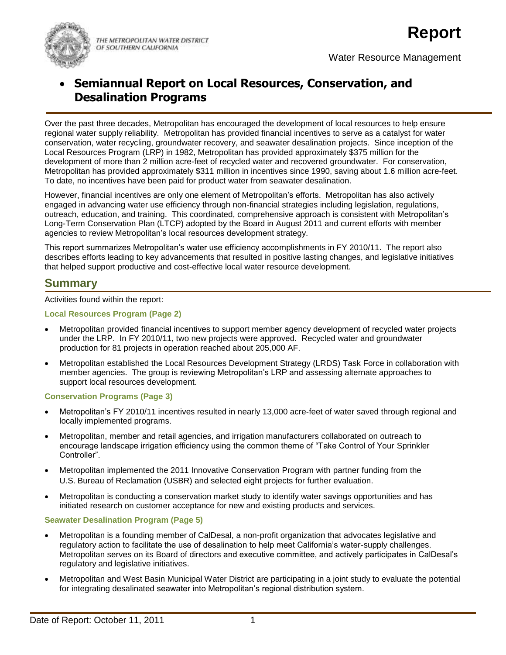

THE METROPOLITAN WATER DISTRICT OF SOUTHERN CALIFORNIA

Water Resource Management

# **Semiannual Report on Local Resources, Conservation, and Desalination Programs**

Over the past three decades, Metropolitan has encouraged the development of local resources to help ensure regional water supply reliability. Metropolitan has provided financial incentives to serve as a catalyst for water conservation, water recycling, groundwater recovery, and seawater desalination projects. Since inception of the Local Resources Program (LRP) in 1982, Metropolitan has provided approximately \$375 million for the development of more than 2 million acre-feet of recycled water and recovered groundwater. For conservation, Metropolitan has provided approximately \$311 million in incentives since 1990, saving about 1.6 million acre-feet. To date, no incentives have been paid for product water from seawater desalination.

However, financial incentives are only one element of Metropolitan's efforts. Metropolitan has also actively engaged in advancing water use efficiency through non-financial strategies including legislation, regulations, outreach, education, and training. This coordinated, comprehensive approach is consistent with Metropolitan's Long-Term Conservation Plan (LTCP) adopted by the Board in August 2011 and current efforts with member agencies to review Metropolitan's local resources development strategy.

This report summarizes Metropolitan's water use efficiency accomplishments in FY 2010/11. The report also describes efforts leading to key advancements that resulted in positive lasting changes, and legislative initiatives that helped support productive and cost-effective local water resource development.

# **Summary**

Activities found within the report:

#### **Local Resources Program (Page 2)**

- Metropolitan provided financial incentives to support member agency development of recycled water projects under the LRP. In FY 2010/11, two new projects were approved. Recycled water and groundwater production for 81 projects in operation reached about 205,000 AF.
- Metropolitan established the Local Resources Development Strategy (LRDS) Task Force in collaboration with member agencies. The group is reviewing Metropolitan's LRP and assessing alternate approaches to support local resources development.

#### **Conservation Programs (Page 3)**

- Metropolitan's FY 2010/11 incentives resulted in nearly 13,000 acre-feet of water saved through regional and locally implemented programs.
- Metropolitan, member and retail agencies, and irrigation manufacturers collaborated on outreach to encourage landscape irrigation efficiency using the common theme of "Take Control of Your Sprinkler Controller".
- Metropolitan implemented the 2011 Innovative Conservation Program with partner funding from the U.S. Bureau of Reclamation (USBR) and selected eight projects for further evaluation.
- Metropolitan is conducting a conservation market study to identify water savings opportunities and has initiated research on customer acceptance for new and existing products and services.

#### **Seawater Desalination Program (Page 5)**

- Metropolitan is a founding member of CalDesal, a non-profit organization that advocates legislative and regulatory action to facilitate the use of desalination to help meet California's water-supply challenges. Metropolitan serves on its Board of directors and executive committee, and actively participates in CalDesal's regulatory and legislative initiatives.
- Metropolitan and West Basin Municipal Water District are participating in a joint study to evaluate the potential for integrating desalinated seawater into Metropolitan's regional distribution system.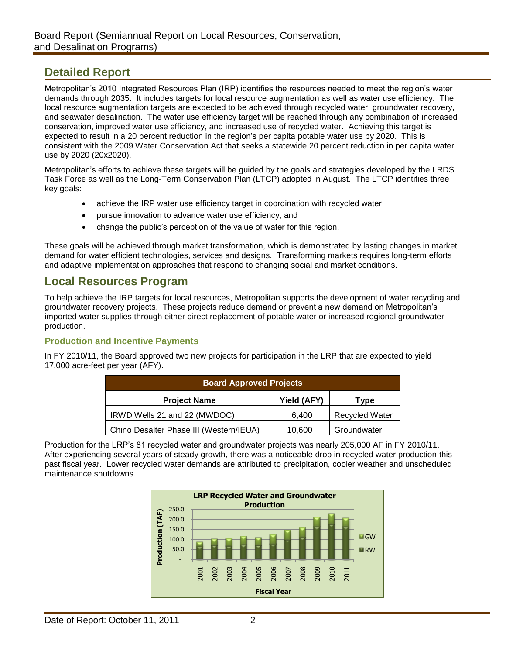# **Detailed Report**

Metropolitan's 2010 Integrated Resources Plan (IRP) identifies the resources needed to meet the region's water demands through 2035. It includes targets for local resource augmentation as well as water use efficiency. The local resource augmentation targets are expected to be achieved through recycled water, groundwater recovery, and seawater desalination. The water use efficiency target will be reached through any combination of increased conservation, improved water use efficiency, and increased use of recycled water. Achieving this target is expected to result in a 20 percent reduction in the region's per capita potable water use by 2020. This is consistent with the 2009 Water Conservation Act that seeks a statewide 20 percent reduction in per capita water use by 2020 (20x2020).

Metropolitan's efforts to achieve these targets will be guided by the goals and strategies developed by the LRDS Task Force as well as the Long-Term Conservation Plan (LTCP) adopted in August. The LTCP identifies three key goals:

- achieve the IRP water use efficiency target in coordination with recycled water;
- pursue innovation to advance water use efficiency; and
- change the public's perception of the value of water for this region.

These goals will be achieved through market transformation, which is demonstrated by lasting changes in market demand for water efficient technologies, services and designs. Transforming markets requires long-term efforts and adaptive implementation approaches that respond to changing social and market conditions.

## **Local Resources Program**

To help achieve the IRP targets for local resources, Metropolitan supports the development of water recycling and groundwater recovery projects. These projects reduce demand or prevent a new demand on Metropolitan's imported water supplies through either direct replacement of potable water or increased regional groundwater production.

#### **Production and Incentive Payments**

In FY 2010/11, the Board approved two new projects for participation in the LRP that are expected to yield 17,000 acre-feet per year (AFY).

| <b>Board Approved Projects</b>          |             |                       |  |
|-----------------------------------------|-------------|-----------------------|--|
| <b>Project Name</b>                     | Yield (AFY) | Type                  |  |
| IRWD Wells 21 and 22 (MWDOC)            | 6.400       | <b>Recycled Water</b> |  |
| Chino Desalter Phase III (Western/IEUA) | 10,600      | Groundwater           |  |

Production for the LRP's 81 recycled water and groundwater projects was nearly 205,000 AF in FY 2010/11. After experiencing several years of steady growth, there was a noticeable drop in recycled water production this past fiscal year. Lower recycled water demands are attributed to precipitation, cooler weather and unscheduled maintenance shutdowns.

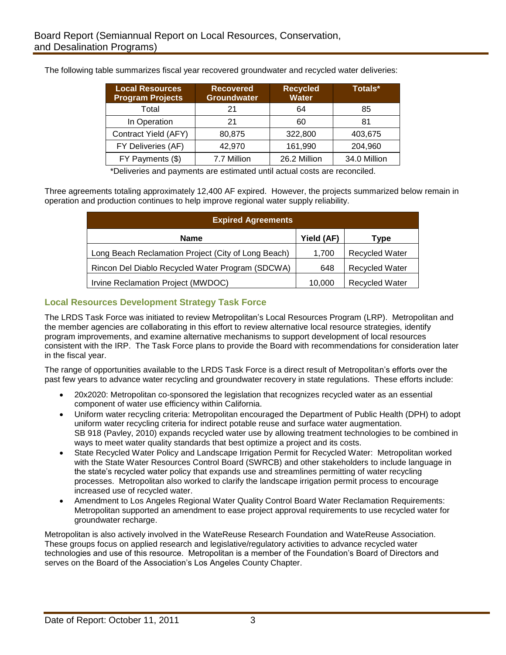| <b>Local Resources</b><br><b>Program Projects</b> | <b>Recovered</b><br><b>Groundwater</b> | <b>Recycled</b><br><b>Water</b> | Totals*      |
|---------------------------------------------------|----------------------------------------|---------------------------------|--------------|
| Total                                             | 21                                     | 64                              | 85           |
| In Operation                                      | 21                                     | 60                              | 81           |
| Contract Yield (AFY)                              | 80,875                                 | 322,800                         | 403,675      |
| FY Deliveries (AF)                                | 42,970                                 | 161,990                         | 204,960      |
| FY Payments (\$)                                  | 7.7 Million                            | 26.2 Million                    | 34.0 Million |

The following table summarizes fiscal year recovered groundwater and recycled water deliveries:

\*Deliveries and payments are estimated until actual costs are reconciled.

Three agreements totaling approximately 12,400 AF expired. However, the projects summarized below remain in operation and production continues to help improve regional water supply reliability.

| <b>Expired Agreements</b>                           |            |                       |  |  |
|-----------------------------------------------------|------------|-----------------------|--|--|
| <b>Name</b>                                         | Yield (AF) | Type                  |  |  |
| Long Beach Reclamation Project (City of Long Beach) | 1,700      | <b>Recycled Water</b> |  |  |
| Rincon Del Diablo Recycled Water Program (SDCWA)    | 648        | <b>Recycled Water</b> |  |  |
| Irvine Reclamation Project (MWDOC)                  | 10,000     | <b>Recycled Water</b> |  |  |

### **Local Resources Development Strategy Task Force**

The LRDS Task Force was initiated to review Metropolitan's Local Resources Program (LRP). Metropolitan and the member agencies are collaborating in this effort to review alternative local resource strategies, identify program improvements, and examine alternative mechanisms to support development of local resources consistent with the IRP. The Task Force plans to provide the Board with recommendations for consideration later in the fiscal year.

The range of opportunities available to the LRDS Task Force is a direct result of Metropolitan's efforts over the past few years to advance water recycling and groundwater recovery in state regulations. These efforts include:

- 20x2020: Metropolitan co-sponsored the legislation that recognizes recycled water as an essential component of water use efficiency within California.
- Uniform water recycling criteria: Metropolitan encouraged the Department of Public Health (DPH) to adopt uniform water recycling criteria for indirect potable reuse and surface water augmentation. SB 918 (Pavley, 2010) expands recycled water use by allowing treatment technologies to be combined in ways to meet water quality standards that best optimize a project and its costs.
- State Recycled Water Policy and Landscape Irrigation Permit for Recycled Water: Metropolitan worked with the State Water Resources Control Board (SWRCB) and other stakeholders to include language in the state's recycled water policy that expands use and streamlines permitting of water recycling processes. Metropolitan also worked to clarify the landscape irrigation permit process to encourage increased use of recycled water.
- Amendment to Los Angeles Regional Water Quality Control Board Water Reclamation Requirements: Metropolitan supported an amendment to ease project approval requirements to use recycled water for groundwater recharge.

Metropolitan is also actively involved in the WateReuse Research Foundation and WateReuse Association. These groups focus on applied research and legislative/regulatory activities to advance recycled water technologies and use of this resource. Metropolitan is a member of the Foundation's Board of Directors and serves on the Board of the Association's Los Angeles County Chapter.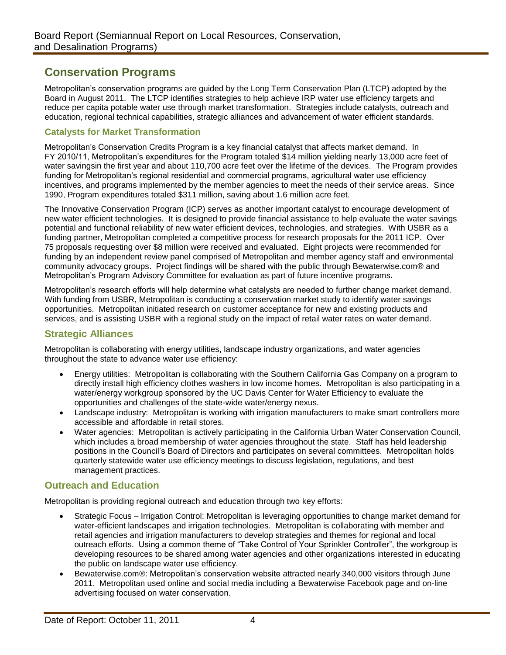# **Conservation Programs**

Metropolitan's conservation programs are guided by the Long Term Conservation Plan (LTCP) adopted by the Board in August 2011. The LTCP identifies strategies to help achieve IRP water use efficiency targets and reduce per capita potable water use through market transformation. Strategies include catalysts, outreach and education, regional technical capabilities, strategic alliances and advancement of water efficient standards.

#### **Catalysts for Market Transformation**

Metropolitan's Conservation Credits Program is a key financial catalyst that affects market demand. In FY 2010/11, Metropolitan's expenditures for the Program totaled \$14 million yielding nearly 13,000 acre feet of water savingsin the first year and about 110,700 acre feet over the lifetime of the devices. The Program provides funding for Metropolitan's regional residential and commercial programs, agricultural water use efficiency incentives, and programs implemented by the member agencies to meet the needs of their service areas. Since 1990, Program expenditures totaled \$311 million, saving about 1.6 million acre feet.

The Innovative Conservation Program (ICP) serves as another important catalyst to encourage development of new water efficient technologies. It is designed to provide financial assistance to help evaluate the water savings potential and functional reliability of new water efficient devices, technologies, and strategies. With USBR as a funding partner, Metropolitan completed a competitive process for research proposals for the 2011 ICP. Over 75 proposals requesting over \$8 million were received and evaluated. Eight projects were recommended for funding by an independent review panel comprised of Metropolitan and member agency staff and environmental community advocacy groups. Project findings will be shared with the public through Bewaterwise.com® and Metropolitan's Program Advisory Committee for evaluation as part of future incentive programs.

Metropolitan's research efforts will help determine what catalysts are needed to further change market demand. With funding from USBR, Metropolitan is conducting a conservation market study to identify water savings opportunities. Metropolitan initiated research on customer acceptance for new and existing products and services, and is assisting USBR with a regional study on the impact of retail water rates on water demand.

### **Strategic Alliances**

Metropolitan is collaborating with energy utilities, landscape industry organizations, and water agencies throughout the state to advance water use efficiency:

- Energy utilities: Metropolitan is collaborating with the Southern California Gas Company on a program to directly install high efficiency clothes washers in low income homes. Metropolitan is also participating in a water/energy workgroup sponsored by the UC Davis Center for Water Efficiency to evaluate the opportunities and challenges of the state-wide water/energy nexus.
- Landscape industry: Metropolitan is working with irrigation manufacturers to make smart controllers more accessible and affordable in retail stores.
- Water agencies: Metropolitan is actively participating in the California Urban Water Conservation Council, which includes a broad membership of water agencies throughout the state. Staff has held leadership positions in the Council's Board of Directors and participates on several committees. Metropolitan holds quarterly statewide water use efficiency meetings to discuss legislation, regulations, and best management practices.

#### **Outreach and Education**

Metropolitan is providing regional outreach and education through two key efforts:

- Strategic Focus Irrigation Control: Metropolitan is leveraging opportunities to change market demand for water-efficient landscapes and irrigation technologies. Metropolitan is collaborating with member and retail agencies and irrigation manufacturers to develop strategies and themes for regional and local outreach efforts. Using a common theme of "Take Control of Your Sprinkler Controller", the workgroup is developing resources to be shared among water agencies and other organizations interested in educating the public on landscape water use efficiency.
- Bewaterwise.com®: Metropolitan's conservation website attracted nearly 340,000 visitors through June 2011. Metropolitan used online and social media including a Bewaterwise Facebook page and on-line advertising focused on water conservation.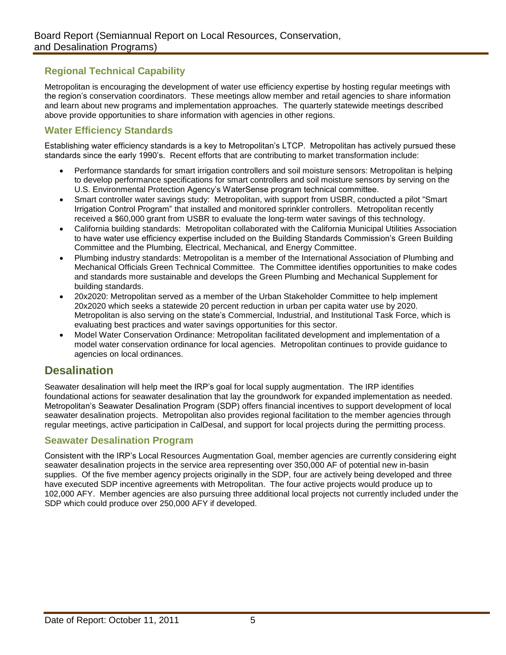## **Regional Technical Capability**

Metropolitan is encouraging the development of water use efficiency expertise by hosting regular meetings with the region's conservation coordinators. These meetings allow member and retail agencies to share information and learn about new programs and implementation approaches. The quarterly statewide meetings described above provide opportunities to share information with agencies in other regions.

## **Water Efficiency Standards**

Establishing water efficiency standards is a key to Metropolitan's LTCP. Metropolitan has actively pursued these standards since the early 1990's. Recent efforts that are contributing to market transformation include:

- Performance standards for smart irrigation controllers and soil moisture sensors: Metropolitan is helping to develop performance specifications for smart controllers and soil moisture sensors by serving on the U.S. Environmental Protection Agency's WaterSense program technical committee.
- Smart controller water savings study: Metropolitan, with support from USBR, conducted a pilot "Smart Irrigation Control Program" that installed and monitored sprinkler controllers. Metropolitan recently received a \$60,000 grant from USBR to evaluate the long-term water savings of this technology.
- California building standards: Metropolitan collaborated with the California Municipal Utilities Association to have water use efficiency expertise included on the Building Standards Commission's Green Building Committee and the Plumbing, Electrical, Mechanical, and Energy Committee.
- Plumbing industry standards: Metropolitan is a member of the International Association of Plumbing and Mechanical Officials Green Technical Committee. The Committee identifies opportunities to make codes and standards more sustainable and develops the Green Plumbing and Mechanical Supplement for building standards.
- 20x2020: Metropolitan served as a member of the Urban Stakeholder Committee to help implement 20x2020 which seeks a statewide 20 percent reduction in urban per capita water use by 2020. Metropolitan is also serving on the state's Commercial, Industrial, and Institutional Task Force, which is evaluating best practices and water savings opportunities for this sector.
- Model Water Conservation Ordinance: Metropolitan facilitated development and implementation of a model water conservation ordinance for local agencies. Metropolitan continues to provide guidance to agencies on local ordinances.

# **Desalination**

Seawater desalination will help meet the IRP's goal for local supply augmentation. The IRP identifies foundational actions for seawater desalination that lay the groundwork for expanded implementation as needed. Metropolitan's Seawater Desalination Program (SDP) offers financial incentives to support development of local seawater desalination projects. Metropolitan also provides regional facilitation to the member agencies through regular meetings, active participation in CalDesal, and support for local projects during the permitting process.

### **Seawater Desalination Program**

Consistent with the IRP's Local Resources Augmentation Goal, member agencies are currently considering eight seawater desalination projects in the service area representing over 350,000 AF of potential new in-basin supplies. Of the five member agency projects originally in the SDP, four are actively being developed and three have executed SDP incentive agreements with Metropolitan. The four active projects would produce up to 102,000 AFY. Member agencies are also pursuing three additional local projects not currently included under the SDP which could produce over 250,000 AFY if developed.